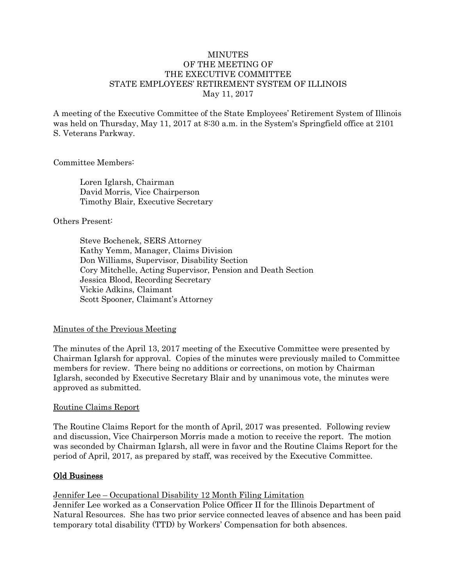### **MINUTES** OF THE MEETING OF THE EXECUTIVE COMMITTEE STATE EMPLOYEES' RETIREMENT SYSTEM OF ILLINOIS May 11, 2017

A meeting of the Executive Committee of the State Employees' Retirement System of Illinois was held on Thursday, May 11, 2017 at 8:30 a.m. in the System's Springfield office at 2101 S. Veterans Parkway.

### Committee Members:

Loren Iglarsh, Chairman David Morris, Vice Chairperson Timothy Blair, Executive Secretary

### Others Present:

Steve Bochenek, SERS Attorney Kathy Yemm, Manager, Claims Division Don Williams, Supervisor, Disability Section Cory Mitchelle, Acting Supervisor, Pension and Death Section Jessica Blood, Recording Secretary Vickie Adkins, Claimant Scott Spooner, Claimant's Attorney

# Minutes of the Previous Meeting

The minutes of the April 13, 2017 meeting of the Executive Committee were presented by Chairman Iglarsh for approval. Copies of the minutes were previously mailed to Committee members for review. There being no additions or corrections, on motion by Chairman Iglarsh, seconded by Executive Secretary Blair and by unanimous vote, the minutes were approved as submitted.

#### Routine Claims Report

The Routine Claims Report for the month of April, 2017 was presented. Following review and discussion, Vice Chairperson Morris made a motion to receive the report. The motion was seconded by Chairman Iglarsh, all were in favor and the Routine Claims Report for the period of April, 2017, as prepared by staff, was received by the Executive Committee.

# Old Business

#### Jennifer Lee – Occupational Disability 12 Month Filing Limitation

Jennifer Lee worked as a Conservation Police Officer II for the Illinois Department of Natural Resources. She has two prior service connected leaves of absence and has been paid temporary total disability (TTD) by Workers' Compensation for both absences.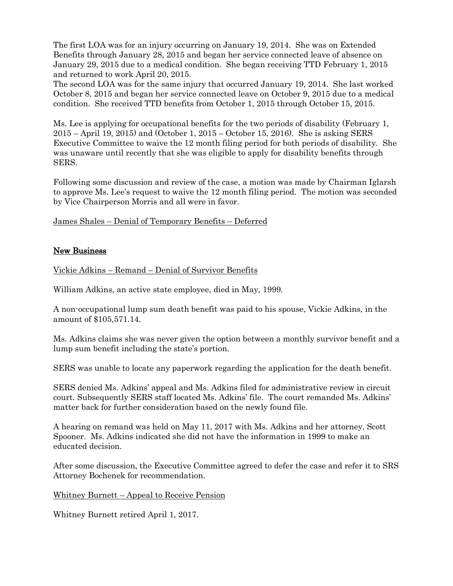The first LOA was for an injury occurring on January 19, 2014. She was on Extended Benefits through January 28, 2015 and began her service connected leave of absence on January 29, 2015 due to a medical condition. She began receiving TTD February 1, 2015 and returned to work April 20, 2015.

The second LOA was for the same injury that occurred January 19, 2014. She last worked October 8, 2015 and began her service connected leave on October 9, 2015 due to a medical condition. She received TTD benefits from October 1, 2015 through October 15, 2015.

Ms. Lee is applying for occupational benefits for the two periods of disability (February 1, 2015 – April 19, 2015) and (October 1, 2015 – October 15, 2016). She is asking SERS Executive Committee to waive the 12 month filing period for both periods of disability. She was unaware until recently that she was eligible to apply for disability benefits through SERS.

Following some discussion and review of the case, a motion was made by Chairman Iglarsh to approve Ms. Lee's request to waive the 12 month filing period. The motion was seconded by Vice Chairperson Morris and all were in favor.

James Shales – Denial of Temporary Benefits – Deferred

# New Business

Vickie Adkins – Remand – Denial of Survivor Benefits

William Adkins, an active state employee, died in May, 1999.

A non-occupational lump sum death benefit was paid to his spouse, Vickie Adkins, in the amount of \$105,571.14.

Ms. Adkins claims she was never given the option between a monthly survivor benefit and a lump sum benefit including the state's portion.

SERS was unable to locate any paperwork regarding the application for the death benefit.

SERS denied Ms. Adkins' appeal and Ms. Adkins filed for administrative review in circuit court. Subsequently SERS staff located Ms. Adkins' file. The court remanded Ms. Adkins' matter back for further consideration based on the newly found file.

A hearing on remand was held on May 11, 2017 with Ms. Adkins and her attorney, Scott Spooner. Ms. Adkins indicated she did not have the information in 1999 to make an educated decision.

After some discussion, the Executive Committee agreed to defer the case and refer it to SRS Attorney Bochenek for recommendation.

Whitney Burnett – Appeal to Receive Pension

Whitney Burnett retired April 1, 2017.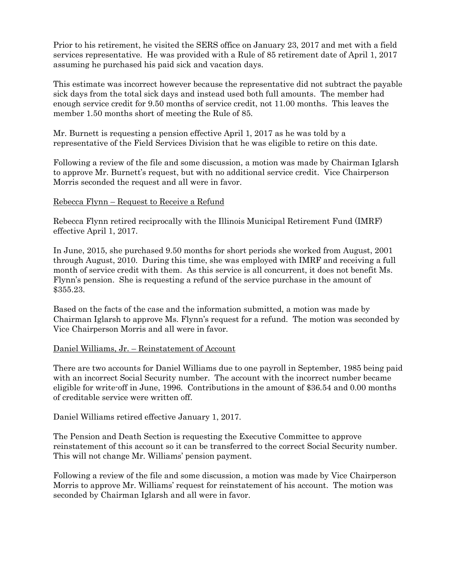Prior to his retirement, he visited the SERS office on January 23, 2017 and met with a field services representative. He was provided with a Rule of 85 retirement date of April 1, 2017 assuming he purchased his paid sick and vacation days.

This estimate was incorrect however because the representative did not subtract the payable sick days from the total sick days and instead used both full amounts. The member had enough service credit for 9.50 months of service credit, not 11.00 months. This leaves the member 1.50 months short of meeting the Rule of 85.

Mr. Burnett is requesting a pension effective April 1, 2017 as he was told by a representative of the Field Services Division that he was eligible to retire on this date.

Following a review of the file and some discussion, a motion was made by Chairman Iglarsh to approve Mr. Burnett's request, but with no additional service credit. Vice Chairperson Morris seconded the request and all were in favor.

### Rebecca Flynn – Request to Receive a Refund

Rebecca Flynn retired reciprocally with the Illinois Municipal Retirement Fund (IMRF) effective April 1, 2017.

In June, 2015, she purchased 9.50 months for short periods she worked from August, 2001 through August, 2010. During this time, she was employed with IMRF and receiving a full month of service credit with them. As this service is all concurrent, it does not benefit Ms. Flynn's pension. She is requesting a refund of the service purchase in the amount of \$355.23.

Based on the facts of the case and the information submitted, a motion was made by Chairman Iglarsh to approve Ms. Flynn's request for a refund. The motion was seconded by Vice Chairperson Morris and all were in favor.

#### Daniel Williams, Jr. – Reinstatement of Account

There are two accounts for Daniel Williams due to one payroll in September, 1985 being paid with an incorrect Social Security number. The account with the incorrect number became eligible for write-off in June, 1996. Contributions in the amount of \$36.54 and 0.00 months of creditable service were written off.

Daniel Williams retired effective January 1, 2017.

The Pension and Death Section is requesting the Executive Committee to approve reinstatement of this account so it can be transferred to the correct Social Security number. This will not change Mr. Williams' pension payment.

Following a review of the file and some discussion, a motion was made by Vice Chairperson Morris to approve Mr. Williams' request for reinstatement of his account. The motion was seconded by Chairman Iglarsh and all were in favor.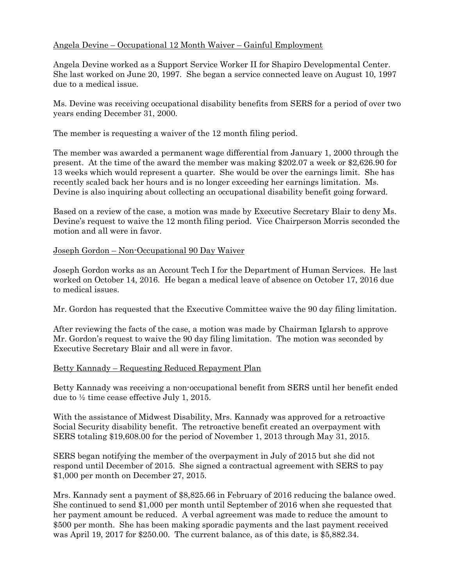# Angela Devine – Occupational 12 Month Waiver – Gainful Employment

Angela Devine worked as a Support Service Worker II for Shapiro Developmental Center. She last worked on June 20, 1997. She began a service connected leave on August 10, 1997 due to a medical issue.

Ms. Devine was receiving occupational disability benefits from SERS for a period of over two years ending December 31, 2000.

The member is requesting a waiver of the 12 month filing period.

The member was awarded a permanent wage differential from January 1, 2000 through the present. At the time of the award the member was making \$202.07 a week or \$2,626.90 for 13 weeks which would represent a quarter. She would be over the earnings limit. She has recently scaled back her hours and is no longer exceeding her earnings limitation. Ms. Devine is also inquiring about collecting an occupational disability benefit going forward.

Based on a review of the case, a motion was made by Executive Secretary Blair to deny Ms. Devine's request to waive the 12 month filing period. Vice Chairperson Morris seconded the motion and all were in favor.

### Joseph Gordon – Non-Occupational 90 Day Waiver

Joseph Gordon works as an Account Tech I for the Department of Human Services. He last worked on October 14, 2016. He began a medical leave of absence on October 17, 2016 due to medical issues.

Mr. Gordon has requested that the Executive Committee waive the 90 day filing limitation.

After reviewing the facts of the case, a motion was made by Chairman Iglarsh to approve Mr. Gordon's request to waive the 90 day filing limitation. The motion was seconded by Executive Secretary Blair and all were in favor.

#### Betty Kannady – Requesting Reduced Repayment Plan

Betty Kannady was receiving a non-occupational benefit from SERS until her benefit ended due to ½ time cease effective July 1, 2015.

With the assistance of Midwest Disability, Mrs. Kannady was approved for a retroactive Social Security disability benefit. The retroactive benefit created an overpayment with SERS totaling \$19,608.00 for the period of November 1, 2013 through May 31, 2015.

SERS began notifying the member of the overpayment in July of 2015 but she did not respond until December of 2015. She signed a contractual agreement with SERS to pay \$1,000 per month on December 27, 2015.

Mrs. Kannady sent a payment of \$8,825.66 in February of 2016 reducing the balance owed. She continued to send \$1,000 per month until September of 2016 when she requested that her payment amount be reduced. A verbal agreement was made to reduce the amount to \$500 per month. She has been making sporadic payments and the last payment received was April 19, 2017 for \$250.00. The current balance, as of this date, is \$5,882.34.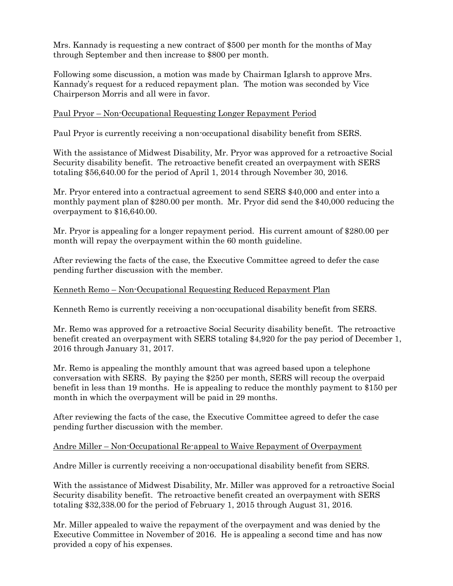Mrs. Kannady is requesting a new contract of \$500 per month for the months of May through September and then increase to \$800 per month.

Following some discussion, a motion was made by Chairman Iglarsh to approve Mrs. Kannady's request for a reduced repayment plan. The motion was seconded by Vice Chairperson Morris and all were in favor.

# Paul Pryor – Non-Occupational Requesting Longer Repayment Period

Paul Pryor is currently receiving a non-occupational disability benefit from SERS.

With the assistance of Midwest Disability, Mr. Pryor was approved for a retroactive Social Security disability benefit. The retroactive benefit created an overpayment with SERS totaling \$56,640.00 for the period of April 1, 2014 through November 30, 2016.

Mr. Pryor entered into a contractual agreement to send SERS \$40,000 and enter into a monthly payment plan of \$280.00 per month. Mr. Pryor did send the \$40,000 reducing the overpayment to \$16,640.00.

Mr. Pryor is appealing for a longer repayment period. His current amount of \$280.00 per month will repay the overpayment within the 60 month guideline.

After reviewing the facts of the case, the Executive Committee agreed to defer the case pending further discussion with the member.

# Kenneth Remo – Non-Occupational Requesting Reduced Repayment Plan

Kenneth Remo is currently receiving a non-occupational disability benefit from SERS.

Mr. Remo was approved for a retroactive Social Security disability benefit. The retroactive benefit created an overpayment with SERS totaling \$4,920 for the pay period of December 1, 2016 through January 31, 2017.

Mr. Remo is appealing the monthly amount that was agreed based upon a telephone conversation with SERS. By paying the \$250 per month, SERS will recoup the overpaid benefit in less than 19 months. He is appealing to reduce the monthly payment to \$150 per month in which the overpayment will be paid in 29 months.

After reviewing the facts of the case, the Executive Committee agreed to defer the case pending further discussion with the member.

# Andre Miller – Non-Occupational Re-appeal to Waive Repayment of Overpayment

Andre Miller is currently receiving a non-occupational disability benefit from SERS.

With the assistance of Midwest Disability, Mr. Miller was approved for a retroactive Social Security disability benefit. The retroactive benefit created an overpayment with SERS totaling \$32,338.00 for the period of February 1, 2015 through August 31, 2016.

Mr. Miller appealed to waive the repayment of the overpayment and was denied by the Executive Committee in November of 2016. He is appealing a second time and has now provided a copy of his expenses.